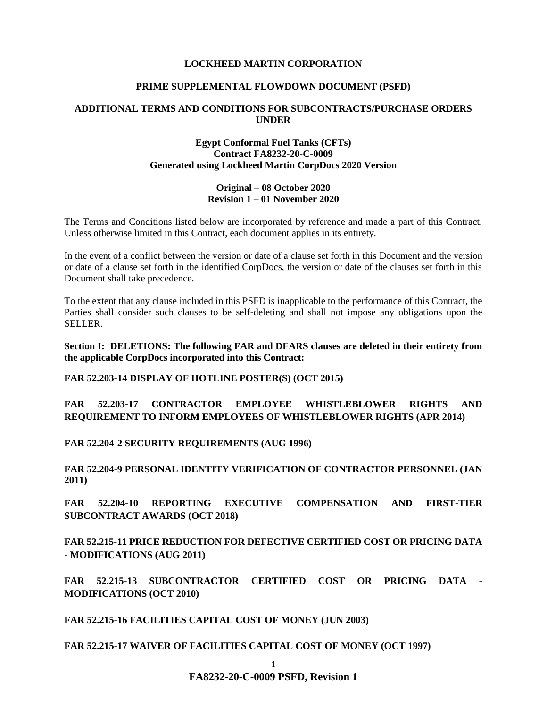### **LOCKHEED MARTIN CORPORATION**

### **PRIME SUPPLEMENTAL FLOWDOWN DOCUMENT (PSFD)**

### **ADDITIONAL TERMS AND CONDITIONS FOR SUBCONTRACTS/PURCHASE ORDERS UNDER**

## **Egypt Conformal Fuel Tanks (CFTs) Contract FA8232-20-C-0009 Generated using Lockheed Martin CorpDocs 2020 Version**

### **Original – 08 October 2020 Revision 1 – 01 November 2020**

The Terms and Conditions listed below are incorporated by reference and made a part of this Contract. Unless otherwise limited in this Contract, each document applies in its entirety.

In the event of a conflict between the version or date of a clause set forth in this Document and the version or date of a clause set forth in the identified CorpDocs, the version or date of the clauses set forth in this Document shall take precedence.

To the extent that any clause included in this PSFD is inapplicable to the performance of this Contract, the Parties shall consider such clauses to be self-deleting and shall not impose any obligations upon the SELLER.

**Section I: DELETIONS: The following FAR and DFARS clauses are deleted in their entirety from the applicable CorpDocs incorporated into this Contract:**

**FAR 52.203-14 DISPLAY OF HOTLINE POSTER(S) (OCT 2015)**

**FAR 52.203-17 CONTRACTOR EMPLOYEE WHISTLEBLOWER RIGHTS AND REQUIREMENT TO INFORM EMPLOYEES OF WHISTLEBLOWER RIGHTS (APR 2014)**

**FAR 52.204-2 SECURITY REQUIREMENTS (AUG 1996)**

**FAR 52.204-9 PERSONAL IDENTITY VERIFICATION OF CONTRACTOR PERSONNEL (JAN 2011)** 

**FAR 52.204-10 REPORTING EXECUTIVE COMPENSATION AND FIRST-TIER SUBCONTRACT AWARDS (OCT 2018)** 

**FAR 52.215-11 PRICE REDUCTION FOR DEFECTIVE CERTIFIED COST OR PRICING DATA - MODIFICATIONS (AUG 2011)**

**FAR 52.215-13 SUBCONTRACTOR CERTIFIED COST OR PRICING DATA - MODIFICATIONS (OCT 2010)**

**FAR 52.215-16 FACILITIES CAPITAL COST OF MONEY (JUN 2003)**

**FAR 52.215-17 WAIVER OF FACILITIES CAPITAL COST OF MONEY (OCT 1997)**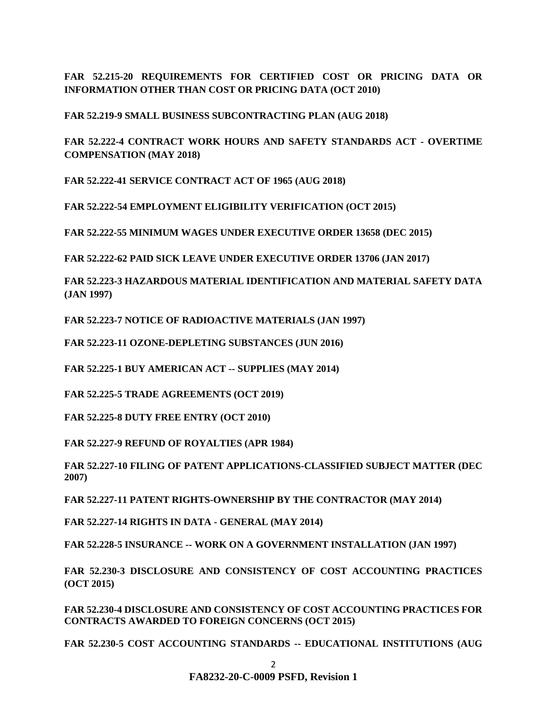**FAR 52.215-20 REQUIREMENTS FOR CERTIFIED COST OR PRICING DATA OR INFORMATION OTHER THAN COST OR PRICING DATA (OCT 2010)**

**FAR 52.219-9 SMALL BUSINESS SUBCONTRACTING PLAN (AUG 2018)**

**FAR 52.222-4 CONTRACT WORK HOURS AND SAFETY STANDARDS ACT - OVERTIME COMPENSATION (MAY 2018)**

**FAR 52.222-41 SERVICE CONTRACT ACT OF 1965 (AUG 2018)**

**FAR 52.222-54 EMPLOYMENT ELIGIBILITY VERIFICATION (OCT 2015)**

**FAR 52.222-55 MINIMUM WAGES UNDER EXECUTIVE ORDER 13658 (DEC 2015)**

**FAR 52.222-62 PAID SICK LEAVE UNDER EXECUTIVE ORDER 13706 (JAN 2017)** 

**FAR 52.223-3 HAZARDOUS MATERIAL IDENTIFICATION AND MATERIAL SAFETY DATA (JAN 1997)**

**FAR 52.223-7 NOTICE OF RADIOACTIVE MATERIALS (JAN 1997)**

**FAR 52.223-11 OZONE-DEPLETING SUBSTANCES (JUN 2016)**

**FAR 52.225-1 BUY AMERICAN ACT -- SUPPLIES (MAY 2014)**

**FAR 52.225-5 TRADE AGREEMENTS (OCT 2019)** 

**FAR 52.225-8 DUTY FREE ENTRY (OCT 2010)** 

**FAR 52.227-9 REFUND OF ROYALTIES (APR 1984)**

**FAR 52.227-10 FILING OF PATENT APPLICATIONS-CLASSIFIED SUBJECT MATTER (DEC 2007)**

**FAR 52.227-11 PATENT RIGHTS-OWNERSHIP BY THE CONTRACTOR (MAY 2014)**

**FAR 52.227-14 RIGHTS IN DATA - GENERAL (MAY 2014)**

**FAR 52.228-5 INSURANCE -- WORK ON A GOVERNMENT INSTALLATION (JAN 1997)**

**FAR 52.230-3 DISCLOSURE AND CONSISTENCY OF COST ACCOUNTING PRACTICES (OCT 2015)**

**FAR 52.230-4 DISCLOSURE AND CONSISTENCY OF COST ACCOUNTING PRACTICES FOR CONTRACTS AWARDED TO FOREIGN CONCERNS (OCT 2015)**

**FAR 52.230-5 COST ACCOUNTING STANDARDS -- EDUCATIONAL INSTITUTIONS (AUG**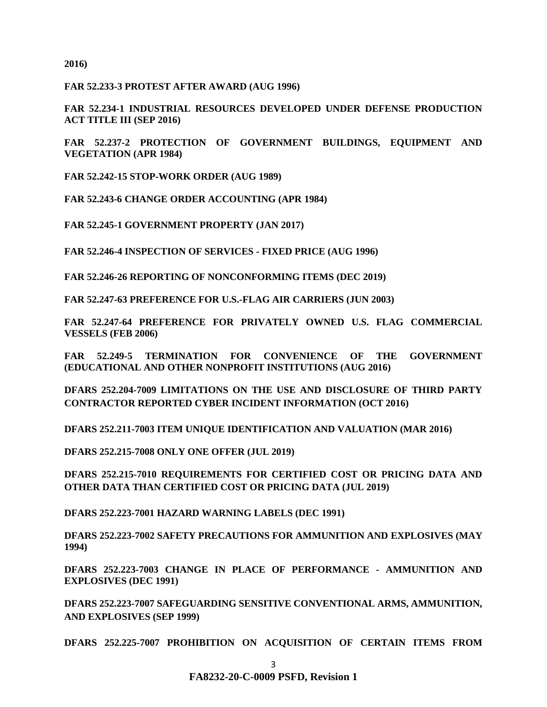**2016)** 

**FAR 52.233-3 PROTEST AFTER AWARD (AUG 1996)**

**FAR 52.234-1 INDUSTRIAL RESOURCES DEVELOPED UNDER DEFENSE PRODUCTION ACT TITLE III (SEP 2016)**

**FAR 52.237-2 PROTECTION OF GOVERNMENT BUILDINGS, EQUIPMENT AND VEGETATION (APR 1984)**

**FAR 52.242-15 STOP-WORK ORDER (AUG 1989)**

**FAR 52.243-6 CHANGE ORDER ACCOUNTING (APR 1984)**

**FAR 52.245-1 GOVERNMENT PROPERTY (JAN 2017)**

**FAR 52.246-4 INSPECTION OF SERVICES - FIXED PRICE (AUG 1996)**

**FAR 52.246-26 REPORTING OF NONCONFORMING ITEMS (DEC 2019)**

**FAR 52.247-63 PREFERENCE FOR U.S.-FLAG AIR CARRIERS (JUN 2003)**

**FAR 52.247-64 PREFERENCE FOR PRIVATELY OWNED U.S. FLAG COMMERCIAL VESSELS (FEB 2006)**

**FAR 52.249-5 TERMINATION FOR CONVENIENCE OF THE GOVERNMENT (EDUCATIONAL AND OTHER NONPROFIT INSTITUTIONS (AUG 2016)**

**DFARS 252.204-7009 LIMITATIONS ON THE USE AND DISCLOSURE OF THIRD PARTY CONTRACTOR REPORTED CYBER INCIDENT INFORMATION (OCT 2016)**

**DFARS 252.211-7003 ITEM UNIQUE IDENTIFICATION AND VALUATION (MAR 2016)**

**DFARS 252.215-7008 ONLY ONE OFFER (JUL 2019)**

**DFARS 252.215-7010 REQUIREMENTS FOR CERTIFIED COST OR PRICING DATA AND OTHER DATA THAN CERTIFIED COST OR PRICING DATA (JUL 2019)**

**DFARS 252.223-7001 HAZARD WARNING LABELS (DEC 1991)**

**DFARS 252.223-7002 SAFETY PRECAUTIONS FOR AMMUNITION AND EXPLOSIVES (MAY 1994)**

**DFARS 252.223-7003 CHANGE IN PLACE OF PERFORMANCE - AMMUNITION AND EXPLOSIVES (DEC 1991)** 

**DFARS 252.223-7007 SAFEGUARDING SENSITIVE CONVENTIONAL ARMS, AMMUNITION, AND EXPLOSIVES (SEP 1999)**

**DFARS 252.225-7007 PROHIBITION ON ACQUISITION OF CERTAIN ITEMS FROM**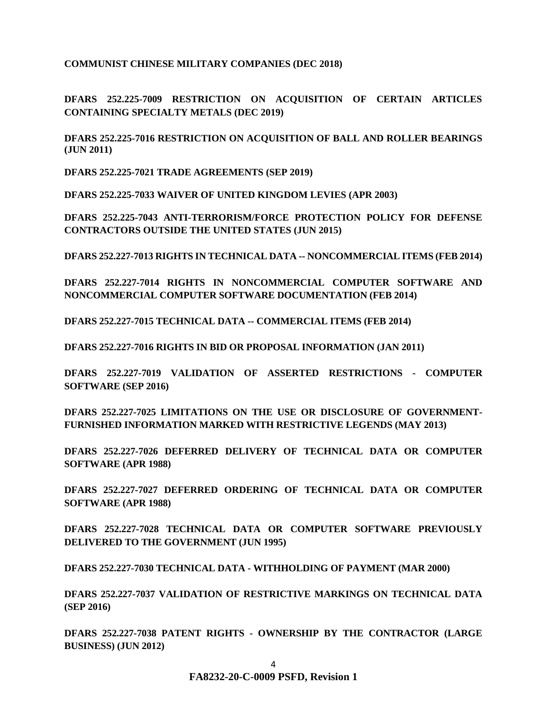**COMMUNIST CHINESE MILITARY COMPANIES (DEC 2018)**

**DFARS 252.225-7009 RESTRICTION ON ACQUISITION OF CERTAIN ARTICLES CONTAINING SPECIALTY METALS (DEC 2019)**

**DFARS 252.225-7016 RESTRICTION ON ACQUISITION OF BALL AND ROLLER BEARINGS (JUN 2011)**

**DFARS 252.225-7021 TRADE AGREEMENTS (SEP 2019)**

**DFARS 252.225-7033 WAIVER OF UNITED KINGDOM LEVIES (APR 2003)**

**DFARS 252.225-7043 ANTI-TERRORISM/FORCE PROTECTION POLICY FOR DEFENSE CONTRACTORS OUTSIDE THE UNITED STATES (JUN 2015)**

**DFARS 252.227-7013 RIGHTS IN TECHNICAL DATA -- NONCOMMERCIAL ITEMS (FEB 2014)**

**DFARS 252.227-7014 RIGHTS IN NONCOMMERCIAL COMPUTER SOFTWARE AND NONCOMMERCIAL COMPUTER SOFTWARE DOCUMENTATION (FEB 2014)** 

**DFARS 252.227-7015 TECHNICAL DATA -- COMMERCIAL ITEMS (FEB 2014)** 

**DFARS 252.227-7016 RIGHTS IN BID OR PROPOSAL INFORMATION (JAN 2011)**

**DFARS 252.227-7019 VALIDATION OF ASSERTED RESTRICTIONS - COMPUTER SOFTWARE (SEP 2016)**

**DFARS 252.227-7025 LIMITATIONS ON THE USE OR DISCLOSURE OF GOVERNMENT-FURNISHED INFORMATION MARKED WITH RESTRICTIVE LEGENDS (MAY 2013)**

**DFARS 252.227-7026 DEFERRED DELIVERY OF TECHNICAL DATA OR COMPUTER SOFTWARE (APR 1988)** 

**DFARS 252.227-7027 DEFERRED ORDERING OF TECHNICAL DATA OR COMPUTER SOFTWARE (APR 1988)** 

**DFARS 252.227-7028 TECHNICAL DATA OR COMPUTER SOFTWARE PREVIOUSLY DELIVERED TO THE GOVERNMENT (JUN 1995)** 

**DFARS 252.227-7030 TECHNICAL DATA - WITHHOLDING OF PAYMENT (MAR 2000)** 

**DFARS 252.227-7037 VALIDATION OF RESTRICTIVE MARKINGS ON TECHNICAL DATA (SEP 2016)**

**DFARS 252.227-7038 PATENT RIGHTS - OWNERSHIP BY THE CONTRACTOR (LARGE BUSINESS) (JUN 2012)**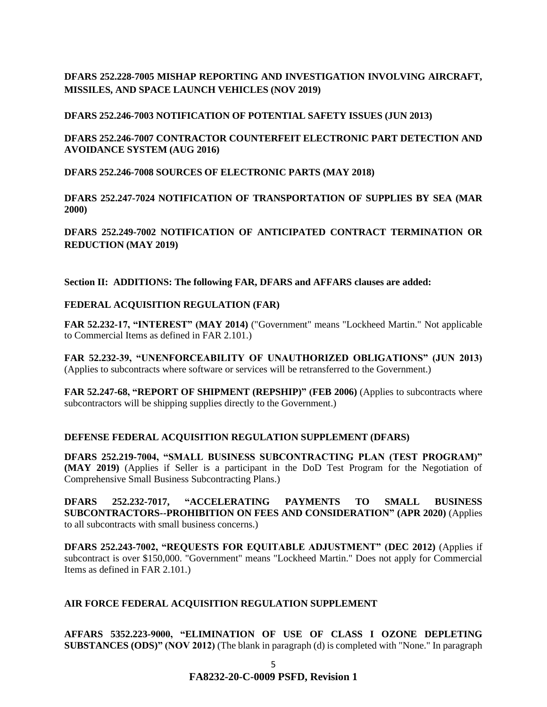**DFARS 252.228-7005 MISHAP REPORTING AND INVESTIGATION INVOLVING AIRCRAFT, MISSILES, AND SPACE LAUNCH VEHICLES (NOV 2019)**

**DFARS 252.246-7003 NOTIFICATION OF POTENTIAL SAFETY ISSUES (JUN 2013)** 

**DFARS 252.246-7007 CONTRACTOR COUNTERFEIT ELECTRONIC PART DETECTION AND AVOIDANCE SYSTEM (AUG 2016)** 

**DFARS 252.246-7008 SOURCES OF ELECTRONIC PARTS (MAY 2018)**

**DFARS 252.247-7024 NOTIFICATION OF TRANSPORTATION OF SUPPLIES BY SEA (MAR 2000)**

**DFARS 252.249-7002 NOTIFICATION OF ANTICIPATED CONTRACT TERMINATION OR REDUCTION (MAY 2019)**

**Section II: ADDITIONS: The following FAR, DFARS and AFFARS clauses are added:**

## **[FEDERAL ACQUISITION REGULATION \(](https://www.acquisition.gov/browsefar)FAR)**

**FAR 52.232-17, "INTEREST" (MAY 2014)** ("Government" means "Lockheed Martin." Not applicable to Commercial Items as defined in FAR 2.101.)

**FAR 52.232-39, "UNENFORCEABILITY OF UNAUTHORIZED OBLIGATIONS" (JUN 2013)** (Applies to subcontracts where software or services will be retransferred to the Government.)

**FAR 52.247-68, "REPORT OF SHIPMENT (REPSHIP)" (FEB 2006)** (Applies to subcontracts where subcontractors will be shipping supplies directly to the Government.)

## **DEFENSE FEDERAL ACQUISITION REGULATION SUPPLEMENT (DFARS)**

**DFARS 252.219-7004, "SMALL BUSINESS SUBCONTRACTING PLAN (TEST PROGRAM)" (MAY 2019)** (Applies if Seller is a participant in the DoD Test Program for the Negotiation of Comprehensive Small Business Subcontracting Plans.)

**DFARS 252.232-7017, "ACCELERATING PAYMENTS TO SMALL BUSINESS SUBCONTRACTORS--PROHIBITION ON FEES AND CONSIDERATION" (APR 2020)** (Applies to all subcontracts with small business concerns.)

**DFARS 252.243-7002, "REQUESTS FOR EQUITABLE ADJUSTMENT" (DEC 2012)** (Applies if subcontract is over \$150,000. "Government" means "Lockheed Martin." Does not apply for Commercial Items as defined in FAR 2.101.)

# **AIR FORCE FEDERAL ACQUISITION REGULATION SUPPLEMENT**

**AFFARS 5352.223-9000, "ELIMINATION OF USE OF CLASS I OZONE DEPLETING SUBSTANCES (ODS)" (NOV 2012)** (The blank in paragraph (d) is completed with "None." In paragraph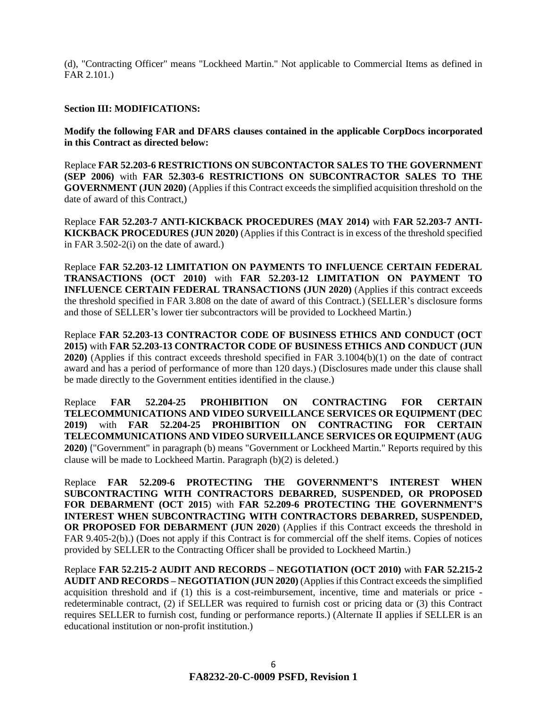(d), "Contracting Officer" means "Lockheed Martin." Not applicable to Commercial Items as defined in FAR 2.101.)

### **Section III: MODIFICATIONS:**

**Modify the following FAR and DFARS clauses contained in the applicable CorpDocs incorporated in this Contract as directed below:**

Replace **FAR 52.203-6 RESTRICTIONS ON SUBCONTACTOR SALES TO THE GOVERNMENT (SEP 2006)** with **FAR 52.303-6 RESTRICTIONS ON SUBCONTRACTOR SALES TO THE GOVERNMENT (JUN 2020)** (Applies if this Contract exceeds the simplified acquisition threshold on the date of award of this Contract,)

Replace **FAR 52.203-7 ANTI-KICKBACK PROCEDURES (MAY 2014)** with **FAR 52.203-7 ANTI-KICKBACK PROCEDURES (JUN 2020)** (Applies if this Contract is in excess of the threshold specified in FAR 3.502-2(i) on the date of award.)

Replace **FAR 52.203-12 LIMITATION ON PAYMENTS TO INFLUENCE CERTAIN FEDERAL TRANSACTIONS (OCT 2010)** with **FAR 52.203-12 LIMITATION ON PAYMENT TO INFLUENCE CERTAIN FEDERAL TRANSACTIONS (JUN 2020)** (Applies if this contract exceeds the threshold specified in FAR 3.808 on the date of award of this Contract.) (SELLER's disclosure forms and those of SELLER's lower tier subcontractors will be provided to Lockheed Martin.)

Replace **FAR 52.203-13 CONTRACTOR CODE OF BUSINESS ETHICS AND CONDUCT (OCT 2015)** with **FAR 52.203-13 CONTRACTOR CODE OF BUSINESS ETHICS AND CONDUCT (JUN 2020)** (Applies if this contract exceeds threshold specified in FAR 3.1004(b)(1) on the date of contract award and has a period of performance of more than 120 days.) (Disclosures made under this clause shall be made directly to the Government entities identified in the clause.)

Replace **FAR 52.204-25 PROHIBITION ON CONTRACTING FOR CERTAIN TELECOMMUNICATIONS AND VIDEO SURVEILLANCE SERVICES OR EQUIPMENT (DEC 2019)** with **FAR 52.204-25 PROHIBITION ON CONTRACTING FOR CERTAIN TELECOMMUNICATIONS AND VIDEO SURVEILLANCE SERVICES OR EQUIPMENT (AUG 2020)** ("Government" in paragraph (b) means "Government or Lockheed Martin." Reports required by this clause will be made to Lockheed Martin. Paragraph (b)(2) is deleted.)

Replace **FAR 52.209-6 PROTECTING THE GOVERNMENT'S INTEREST WHEN SUBCONTRACTING WITH CONTRACTORS DEBARRED, SUSPENDED, OR PROPOSED FOR DEBARMENT (OCT 2015**) with **FAR 52.209-6 PROTECTING THE GOVERNMENT'S INTEREST WHEN SUBCONTRACTING WITH CONTRACTORS DEBARRED, SUSPENDED, OR PROPOSED FOR DEBARMENT (JUN 2020**) (Applies if this Contract exceeds the threshold in FAR 9.405-2(b).) (Does not apply if this Contract is for commercial off the shelf items. Copies of notices provided by SELLER to the Contracting Officer shall be provided to Lockheed Martin.)

Replace **FAR 52.215-2 AUDIT AND RECORDS – NEGOTIATION (OCT 2010)** with **FAR 52.215-2 AUDIT AND RECORDS – NEGOTIATION (JUN 2020)** (Applies if this Contract exceeds the simplified acquisition threshold and if (1) this is a cost-reimbursement, incentive, time and materials or price redeterminable contract, (2) if SELLER was required to furnish cost or pricing data or (3) this Contract requires SELLER to furnish cost, funding or performance reports.) (Alternate II applies if SELLER is an educational institution or non-profit institution.)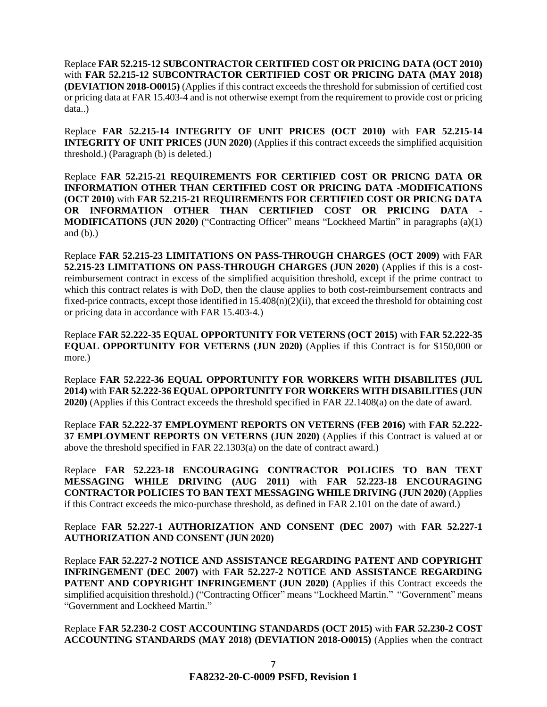Replace **FAR 52.215-12 SUBCONTRACTOR CERTIFIED COST OR PRICING DATA (OCT 2010)**  with **FAR 52.215-12 SUBCONTRACTOR CERTIFIED COST OR PRICING DATA (MAY 2018) (DEVIATION 2018-O0015)** (Applies if this contract exceeds the threshold for submission of certified cost or pricing data at FAR 15.403-4 and is not otherwise exempt from the requirement to provide cost or pricing data..)

Replace **FAR 52.215-14 INTEGRITY OF UNIT PRICES (OCT 2010)** with **FAR 52.215-14 INTEGRITY OF UNIT PRICES (JUN 2020)** (Applies if this contract exceeds the simplified acquisition threshold.) (Paragraph (b) is deleted.)

Replace **FAR 52.215-21 REQUIREMENTS FOR CERTIFIED COST OR PRICNG DATA OR INFORMATION OTHER THAN CERTIFIED COST OR PRICING DATA -MODIFICATIONS (OCT 2010)** with **FAR 52.215-21 REQUIREMENTS FOR CERTIFIED COST OR PRICNG DATA OR INFORMATION OTHER THAN CERTIFIED COST OR PRICING DATA - MODIFICATIONS (JUN 2020)** ("Contracting Officer" means "Lockheed Martin" in paragraphs (a)(1) and  $(b)$ .)

Replace **FAR 52.215-23 LIMITATIONS ON PASS-THROUGH CHARGES (OCT 2009)** with FAR **52.215-23 LIMITATIONS ON PASS-THROUGH CHARGES (JUN 2020)** (Applies if this is a costreimbursement contract in excess of the simplified acquisition threshold, except if the prime contract to which this contract relates is with DoD, then the clause applies to both cost-reimbursement contracts and fixed-price contracts, except those identified in 15.408(n)( $2$ )(ii), that exceed the threshold for obtaining cost or pricing data in accordance with FAR 15.403-4.)

Replace **FAR 52.222-35 EQUAL OPPORTUNITY FOR VETERNS (OCT 2015)** with **FAR 52.222-35 EQUAL OPPORTUNITY FOR VETERNS (JUN 2020)** (Applies if this Contract is for \$150,000 or more.)

Replace **FAR 52.222-36 EQUAL OPPORTUNITY FOR WORKERS WITH DISABILITES (JUL 2014)** with **FAR 52.222-36 EQUAL OPPORTUNITY FOR WORKERS WITH DISABILITIES (JUN 2020)** (Applies if this Contract exceeds the threshold specified in FAR 22.1408(a) on the date of award.

Replace **FAR 52.222-37 EMPLOYMENT REPORTS ON VETERNS (FEB 2016)** with **FAR 52.222- 37 EMPLOYMENT REPORTS ON VETERNS (JUN 2020)** (Applies if this Contract is valued at or above the threshold specified in FAR 22.1303(a) on the date of contract award.)

Replace **FAR 52.223-18 ENCOURAGING CONTRACTOR POLICIES TO BAN TEXT MESSAGING WHILE DRIVING (AUG 2011)** with **FAR 52.223-18 ENCOURAGING CONTRACTOR POLICIES TO BAN TEXT MESSAGING WHILE DRIVING (JUN 2020)** (Applies if this Contract exceeds the mico-purchase threshold, as defined in FAR 2.101 on the date of award.)

Replace **FAR 52.227-1 AUTHORIZATION AND CONSENT (DEC 2007)** with **FAR 52.227-1 AUTHORIZATION AND CONSENT (JUN 2020)**

Replace **FAR 52.227-2 NOTICE AND ASSISTANCE REGARDING PATENT AND COPYRIGHT INFRINGEMENT (DEC 2007)** with **FAR 52.227-2 NOTICE AND ASSISTANCE REGARDING PATENT AND COPYRIGHT INFRINGEMENT (JUN 2020)** (Applies if this Contract exceeds the simplified acquisition threshold.) ("Contracting Officer" means "Lockheed Martin." "Government" means "Government and Lockheed Martin."

Replace **FAR 52.230-2 COST ACCOUNTING STANDARDS (OCT 2015)** with **FAR 52.230-2 COST ACCOUNTING STANDARDS (MAY 2018) (DEVIATION 2018-O0015)** (Applies when the contract